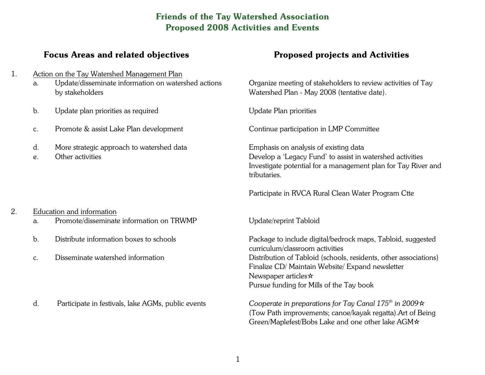## **Friends of the Tay Watershed Association Proposed 2008 Activities and Events**

## **Focus Areas and related objectives**

- 1. Action on the Tay Watershed Management Plan
	- a. Update/disseminate information on watershed actions by stakeholders
	- b. Update plan priorities as required
	- c. Promote & assist Lake Plan development
	- d. More strategic approach to watershed data
	- e. Other activities

#### 2. Education and information

- a. Promote/disseminate information on TRWMP
- b. Distribute information boxes to schools
- c. Disseminate watershed information
- d. Participate in festivals, lake AGMs, public events

## **Proposed projects and Activities**

Organize meeting of stakeholders to review activities of Tay Watershed Plan - May 2008 (tentative date).

Update Plan priorities

Continue participation in LMP Committee

Emphasis on analysis of existing data Develop a 'Legacy Fund' to assist in watershed activities Investigate potential for a management plan for Tay River and tributaries.

Participate in RVCA Rural Clean Water Program Ctte

Update/reprint Tabloid

Package to include digital/bedrock maps, Tabloid, suggested curriculum/classroom activities Distribution of Tabloid (schools, residents, other associations) Finalize CD/ Maintain Website/ Expand newsletter Newspaper articles  $\star$ Pursue funding for Mills of the Tay book

*Cooperate in preparations for Tay Canal 175 th in 2009l* (Tow Path improvements; canoe/kayak regatta).Art of Being Green/Maplefest/Bobs Lake and one other lake AGM $\star$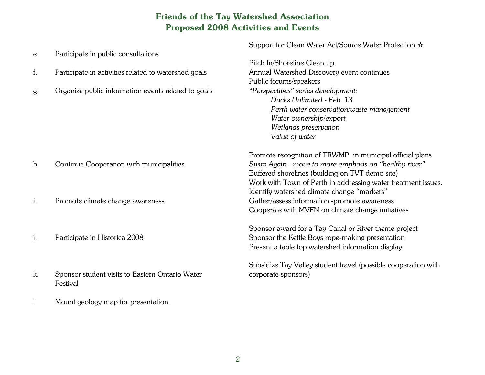# **Friends of the Tay Watershed Association Proposed 2008 Activities and Events**

|                |                                                      | Support for Clean Water Act/Source Water Protection *          |
|----------------|------------------------------------------------------|----------------------------------------------------------------|
| e.             | Participate in public consultations                  |                                                                |
|                |                                                      | Pitch In/Shoreline Clean up.                                   |
| f.             | Participate in activities related to watershed goals | Annual Watershed Discovery event continues                     |
|                |                                                      | Public forums/speakers                                         |
| g.             | Organize public information events related to goals  | "Perspectives" series development:                             |
|                |                                                      | Ducks Unlimited - Feb. 13                                      |
|                |                                                      | Perth water conservation/waste management                      |
|                |                                                      | Water ownership/export                                         |
|                |                                                      | Wetlands preservation                                          |
|                |                                                      | Value of water                                                 |
|                |                                                      | Promote recognition of TRWMP in municipal official plans       |
| h.             | Continue Cooperation with municipalities             | Swim Again - move to more emphasis on "healthy river"          |
|                |                                                      | Buffered shorelines (building on TVT demo site)                |
|                |                                                      | Work with Town of Perth in addressing water treatment issues.  |
|                |                                                      | Identify watershed climate change "markers"                    |
| i.             | Promote climate change awareness                     | Gather/assess information -promote awareness                   |
|                |                                                      | Cooperate with MVFN on climate change initiatives              |
|                |                                                      | Sponsor award for a Tay Canal or River theme project           |
| j.             | Participate in Historica 2008                        | Sponsor the Kettle Boys rope-making presentation               |
|                |                                                      | Present a table top watershed information display              |
|                |                                                      | Subsidize Tay Valley student travel (possible cooperation with |
| k.             | Sponsor student visits to Eastern Ontario Water      | corporate sponsors)                                            |
|                | Festival                                             |                                                                |
| $\mathbf{l}$ . | Mount geology map for presentation.                  |                                                                |